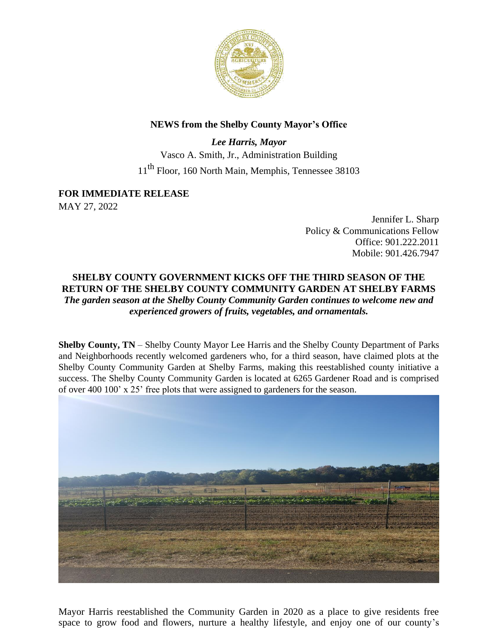

## **NEWS from the Shelby County Mayor's Office**

*Lee Harris, Mayor* Vasco A. Smith, Jr., Administration Building 11th Floor, 160 North Main, Memphis, Tennessee 38103

## **FOR IMMEDIATE RELEASE**

MAY 27, 2022

Jennifer L. Sharp Policy & Communications Fellow Office: 901.222.2011 Mobile: 901.426.7947

## **SHELBY COUNTY GOVERNMENT KICKS OFF THE THIRD SEASON OF THE RETURN OF THE SHELBY COUNTY COMMUNITY GARDEN AT SHELBY FARMS**  *The garden season at the Shelby County Community Garden continues to welcome new and experienced growers of fruits, vegetables, and ornamentals.*

**Shelby County, TN** – Shelby County Mayor Lee Harris and the Shelby County Department of Parks and Neighborhoods recently welcomed gardeners who, for a third season, have claimed plots at the Shelby County Community Garden at Shelby Farms, making this reestablished county initiative a success. The Shelby County Community Garden is located at 6265 Gardener Road and is comprised of over 400 100' x 25' free plots that were assigned to gardeners for the season.



Mayor Harris reestablished the Community Garden in 2020 as a place to give residents free space to grow food and flowers, nurture a healthy lifestyle, and enjoy one of our county's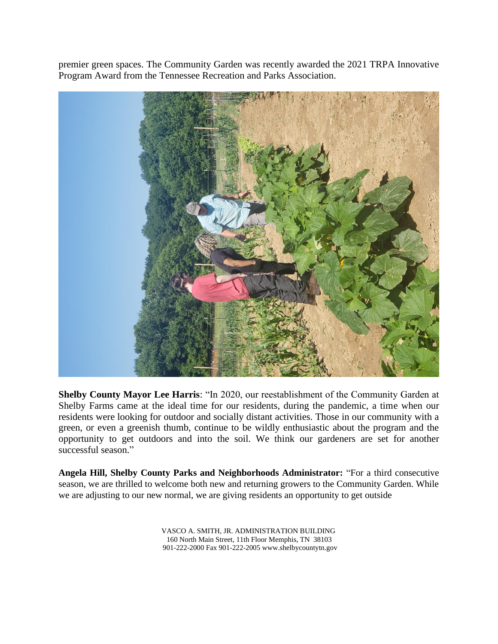premier green spaces. The Community Garden was recently awarded the 2021 TRPA Innovative Program Award from the Tennessee Recreation and Parks Association.



**Shelby County Mayor Lee Harris**: "In 2020, our reestablishment of the Community Garden at Shelby Farms came at the ideal time for our residents, during the pandemic, a time when our residents were looking for outdoor and socially distant activities. Those in our community with a green, or even a greenish thumb, continue to be wildly enthusiastic about the program and the opportunity to get outdoors and into the soil. We think our gardeners are set for another successful season."

**Angela Hill, Shelby County Parks and Neighborhoods Administrator:** "For a third consecutive season, we are thrilled to welcome both new and returning growers to the Community Garden. While we are adjusting to our new normal, we are giving residents an opportunity to get outside

> VASCO A. SMITH, JR. ADMINISTRATION BUILDING 160 North Main Street, 11th Floor Memphis, TN 38103 901-222-2000 Fax 901-222-200[5 www.shelbycountytn.gov](http://www.shelbycountytn.gov/)